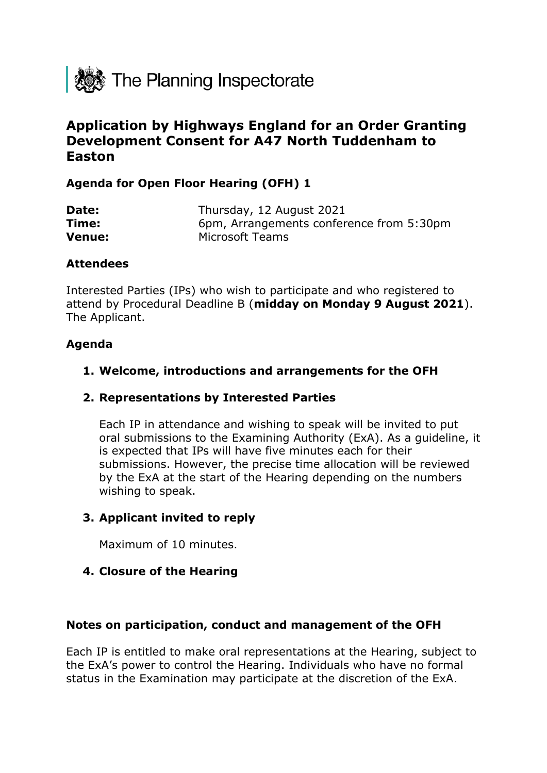

# **Application by Highways England for an Order Granting Development Consent for A47 North Tuddenham to Easton**

## **Agenda for Open Floor Hearing (OFH) 1**

| Date:         | Thursday, 12 August 2021                 |
|---------------|------------------------------------------|
| Time:         | 6pm, Arrangements conference from 5:30pm |
| <b>Venue:</b> | Microsoft Teams                          |

#### **Attendees**

Interested Parties (IPs) who wish to participate and who registered to attend by Procedural Deadline B (**midday on Monday 9 August 2021**). The Applicant.

### **Agenda**

### **1. Welcome, introductions and arrangements for the OFH**

### **2. Representations by Interested Parties**

Each IP in attendance and wishing to speak will be invited to put oral submissions to the Examining Authority (ExA). As a guideline, it is expected that IPs will have five minutes each for their submissions. However, the precise time allocation will be reviewed by the ExA at the start of the Hearing depending on the numbers wishing to speak.

### **3. Applicant invited to reply**

Maximum of 10 minutes.

### **4. Closure of the Hearing**

#### **Notes on participation, conduct and management of the OFH**

Each IP is entitled to make oral representations at the Hearing, subject to the ExA's power to control the Hearing. Individuals who have no formal status in the Examination may participate at the discretion of the ExA.